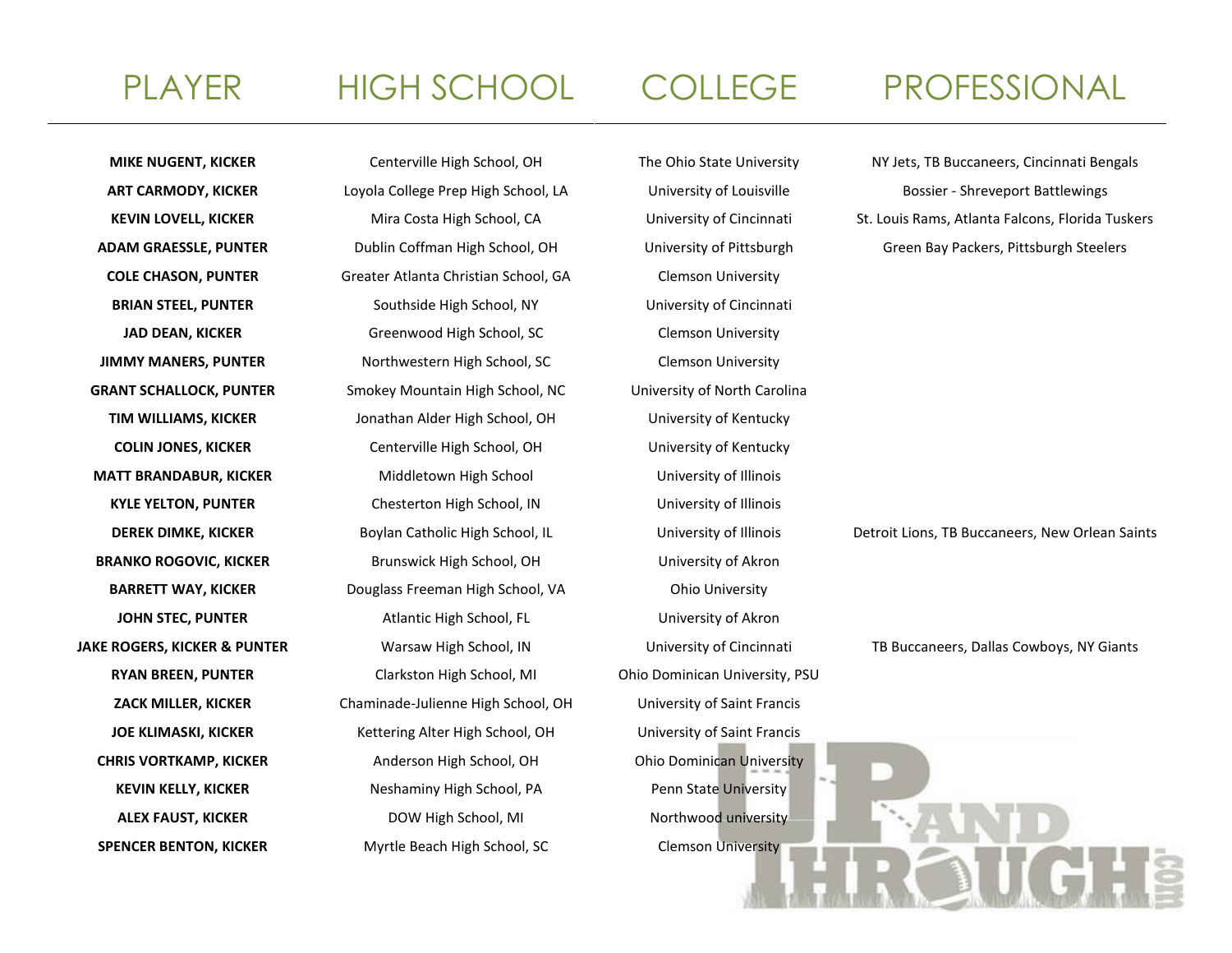**COLE CHASON, PUNTER** Greater Atlanta Christian School, GA Clemson University **BRIAN STEEL, PUNTER** Southside High School, NY University of Cincinnati **JAD DEAN, KICKER** Greenwood High School, SC Clemson University **JIMMY MANERS, PUNTER** Northwestern High School, SC Clemson University **GRANT SCHALLOCK, PUNTER** Smokey Mountain High School, NC University of North Carolina **TIM WILLIAMS, KICKER** Jonathan Alder High School, OH University of Kentucky **COLIN JONES, KICKER** Centerville High School, OH University of Kentucky **MATT BRANDABUR, KICKER** Middletown High School University of Illinois **KYLE YELTON, PUNTER** Chesterton High School, IN University of Illinois **BRANKO ROGOVIC, KICKER** Brunswick High School, OH University of Akron **BARRETT WAY, KICKER** Douglass Freeman High School, VA Ohio University **JOHN STEC, PUNTER** Atlantic High School, FL University of Akron **RYAN BREEN, PUNTER** Clarkston High School, MI Ohio Dominican University, PSU **ZACK MILLER, KICKER** Chaminade-Julienne High School, OH University of Saint Francis **JOE KLIMASKI, KICKER** Kettering Alter High School, OH University of Saint Francis **CHRIS VORTKAMP, KICKER** Anderson High School, OH Ohio Dominican University KEVIN KELLY, KICKER **Neshaminy High School, PA** Penn State University **ALEX FAUST, KICKER DOW High School, MI** Northwood university **SPENCER BENTON, KICKER** Myrtle Beach High School, SC Clemson University

# PLAYER HIGH SCHOOL COLLEGE PROFESSIONAL

**MIKE NUGENT, KICKER** Centerville High School, OH The Ohio State University NY Jets, TB Buccaneers, Cincinnati Bengals **ART CARMODY, KICKER** Loyola College Prep High School, LA University of Louisville Bossier - Shreveport Battlewings

**KEVIN LOVELL, KICKER** Mira Costa High School, CA University of Cincinnati St. Louis Rams, Atlanta Falcons, Florida Tuskers **ADAM GRAESSLE, PUNTER** Dublin Coffman High School, OH University of Pittsburgh Green Bay Packers, Pittsburgh Steelers

**DEREK DIMKE, KICKER** Boylan Catholic High School, IL University of Illinois Detroit Lions, TB Buccaneers, New Orlean Saints

**JAKE ROGERS, KICKER & PUNTER** Warsaw High School, IN University of Cincinnati TB Buccaneers, Dallas Cowboys, NY Giants

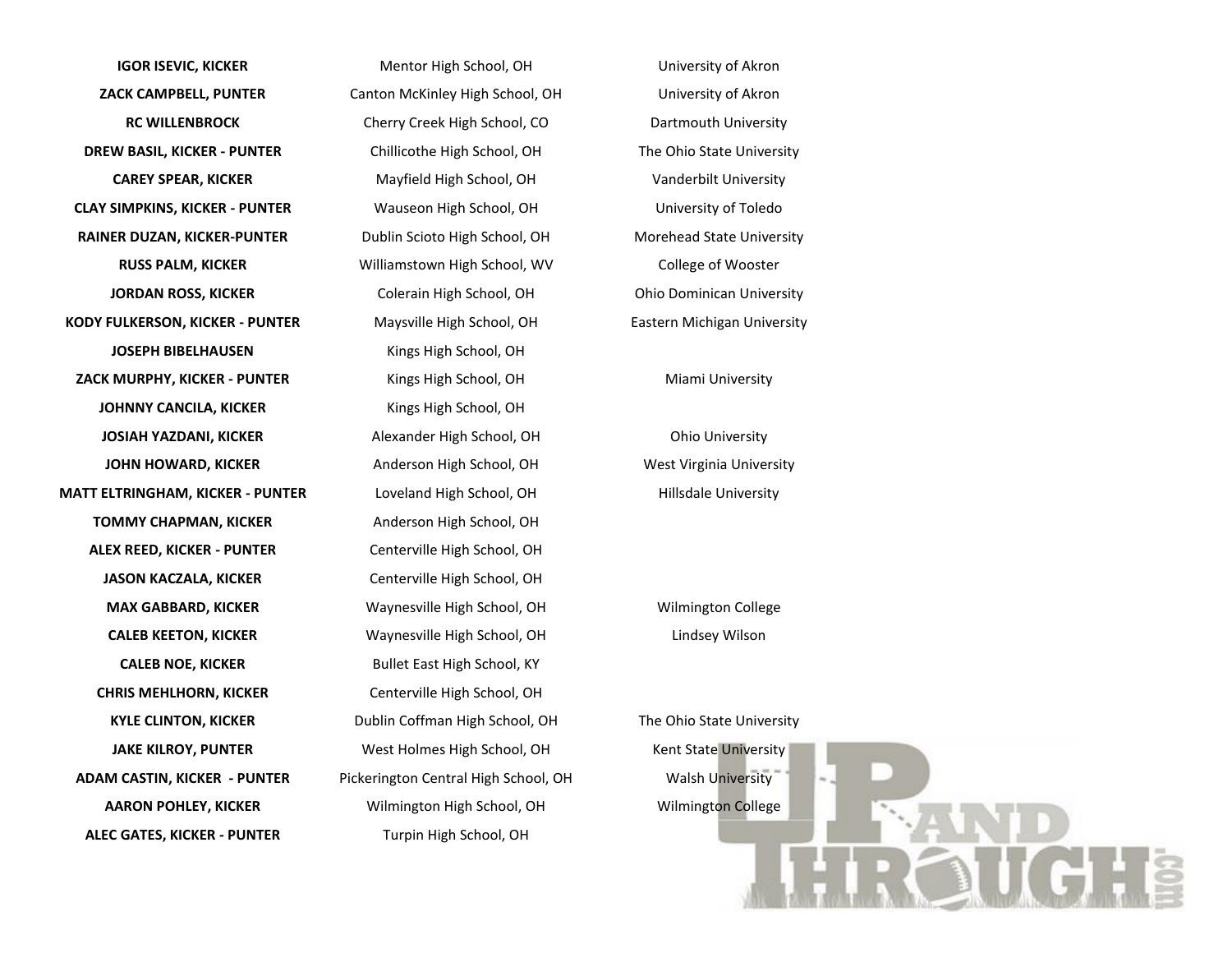**IGOR ISEVIC, KICKER** Mentor High School, OH University of Akron **ZACK CAMPBELL, PUNTER** Canton McKinley High School, OH University of Akron **DREW BASIL, KICKER - PUNTER** Chillicothe High School, OH The Ohio State University **CLAY SIMPKINS, KICKER - PUNTER** Wauseon High School, OH University of Toledo **RAINER DUZAN, KICKER-PUNTER** Dublin Scioto High School, OH Morehead State University **KODY FULKERSON, KICKER - PUNTER** Maysville High School, OH Eastern Michigan University **JOSEPH BIBELHAUSEN** Kings High School, OH **ZACK MURPHY, KICKER - PUNTER** Kings High School, OH Miami University **JOHNNY CANCILA, KICKER** Kings High School, OH **JOSIAH YAZDANI, KICKER** Alexander High School, OH Ohio University **JOHN HOWARD, KICKER** Anderson High School, OH West Virginia University **MATT ELTRINGHAM, KICKER - PUNTER** Loveland High School, OH Hillsdale University **TOMMY CHAPMAN, KICKER** Anderson High School, OH **ALEX REED, KICKER - PUNTER** Centerville High School, OH **JASON KACZALA, KICKER** Centerville High School, OH **MAX GABBARD, KICKER** Waynesville High School, OH Wilmington College **CALEB NOE, KICKER** Bullet East High School, KY **CHRIS MEHLHORN, KICKER** Centerville High School, OH **ADAM CASTIN, KICKER - PUNTER** Pickerington Central High School, OH Walsh University **AARON POHLEY, KICKER** Wilmington High School, OH Wilmington College **ALEC GATES, KICKER - PUNTER** Turpin High School, OH

**RC WILLENBROCK** Cherry Creek High School, CO Dartmouth University **CAREY SPEAR, KICKER** Mayfield High School, OH Vanderbilt University **RUSS PALM, KICKER** Williamstown High School, WV College of Wooster **JORDAN ROSS, KICKER** Colerain High School, OH Ohio Dominican University **CALEB KEETON, KICKER** Waynesville High School, OH Lindsey Wilson **KYLE CLINTON, KICKER** Dublin Coffman High School, OH The Ohio State University **JAKE KILROY, PUNTER** West Holmes High School, OH Kent State University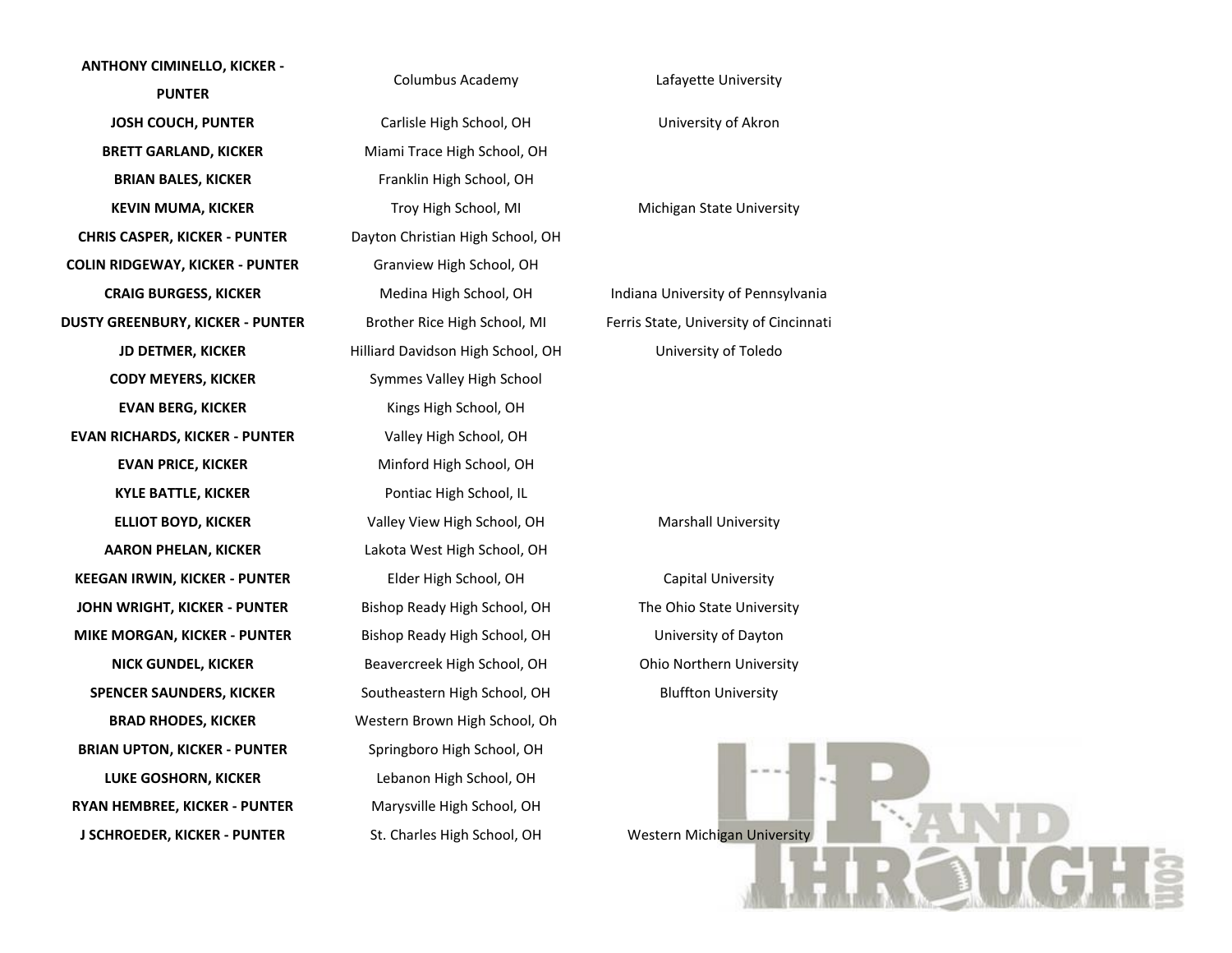## **ANTHONY CIMINELLO, KICKER - PUNTER JOSH COUCH, PUNTER** Carlisle High School, OH University of Akron **BRETT GARLAND, KICKER** Miami Trace High School, OH **BRIAN BALES, KICKER** Franklin High School, OH **KEVIN MUMA, KICKER** Troy High School, MI Michigan State University **CHRIS CASPER, KICKER - PUNTER** Dayton Christian High School, OH **COLIN RIDGEWAY, KICKER - PUNTER** Granview High School, OH **CRAIG BURGESS, KICKER** Medina High School, OH Indiana University of Pennsylvania **DUSTY GREENBURY, KICKER - PUNTER** Brother Rice High School, MI Ferris State, University of Cincinnati **JD DETMER, KICKER** Hilliard Davidson High School, OH University of Toledo **CODY MEYERS, KICKER** Symmes Valley High School **EVAN BERG, KICKER** Kings High School, OH **EVAN RICHARDS, KICKER - PUNTER** Valley High School, OH **EVAN PRICE, KICKER** Minford High School, OH **KYLE BATTLE, KICKER** Pontiac High School, IL **ELLIOT BOYD, KICKER** Valley View High School, OH Marshall University **AARON PHELAN, KICKER** Lakota West High School, OH **KEEGAN IRWIN, KICKER - PUNTER** Elder High School, OH Capital University **JOHN WRIGHT, KICKER - PUNTER** Bishop Ready High School, OH The Ohio State University **MIKE MORGAN, KICKER - PUNTER** Bishop Ready High School, OH University of Dayton **NICK GUNDEL, KICKER** Beavercreek High School, OH Ohio Northern University **SPENCER SAUNDERS, KICKER** Southeastern High School, OH Bluffton University **BRAD RHODES, KICKER** Western Brown High School, Oh **BRIAN UPTON, KICKER - PUNTER** Springboro High School, OH **LUKE GOSHORN, KICKER** Lebanon High School, OH **RYAN HEMBREE, KICKER - PUNTER** Marysville High School, OH **J SCHROEDER, KICKER - PUNTER** St. Charles High School, OH Western Michigan University

Columbus Academy Lafayette University

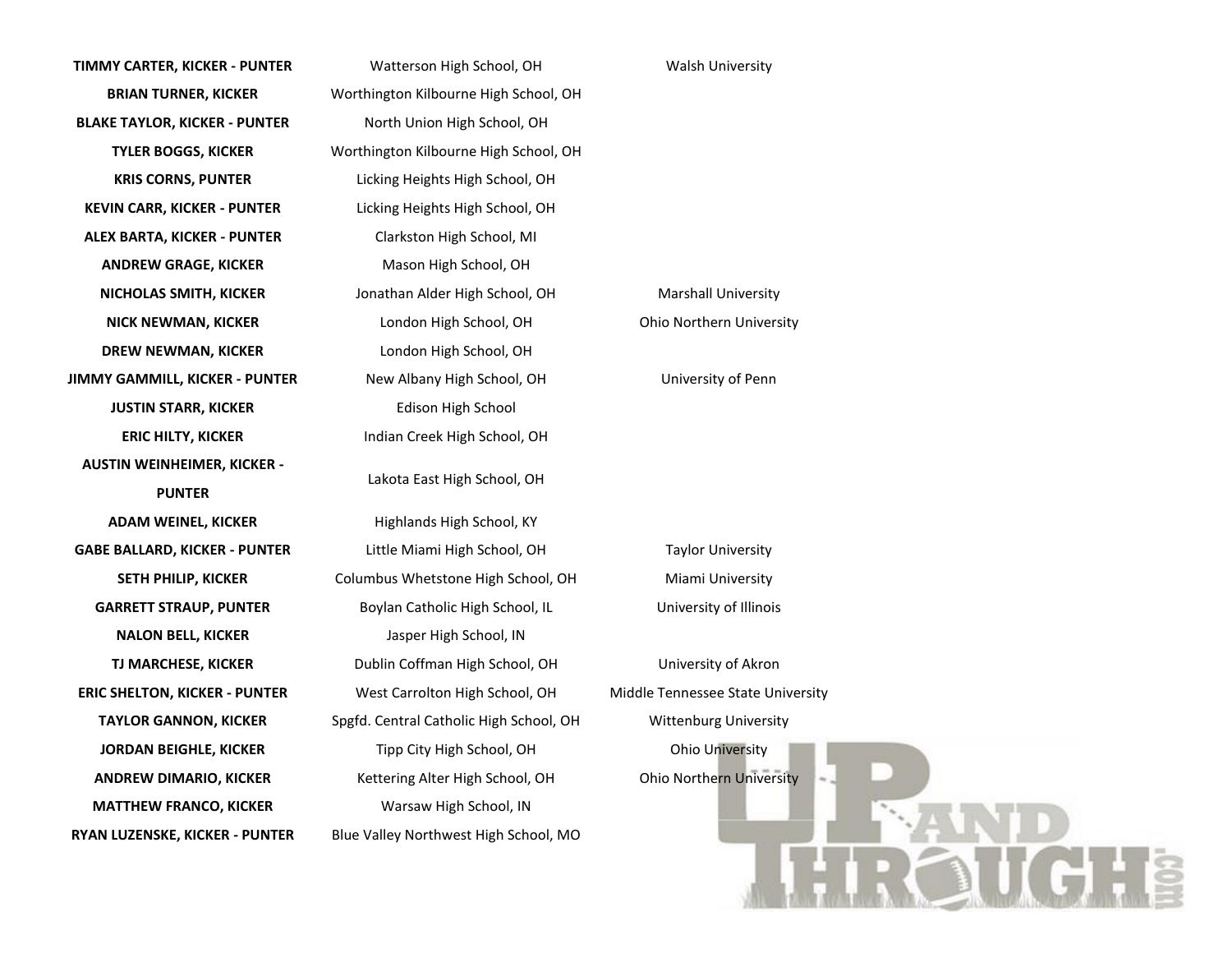**TIMMY CARTER, KICKER - PUNTER** Watterson High School, OH Walsh University **BLAKE TAYLOR, KICKER - PUNTER** North Union High School, OH **KRIS CORNS, PUNTER** Licking Heights High School, OH **KEVIN CARR, KICKER - PUNTER** Licking Heights High School, OH **ALEX BARTA, KICKER - PUNTER** Clarkston High School, MI **ANDREW GRAGE, KICKER** Mason High School, OH **NICHOLAS SMITH, KICKER** Jonathan Alder High School, OH Marshall University **DREW NEWMAN, KICKER** London High School, OH **JIMMY GAMMILL, KICKER - PUNTER** New Albany High School, OH University of Penn **JUSTIN STARR, KICKER** Edison High School **ERIC HILTY, KICKER** Indian Creek High School, OH **AUSTIN WEINHEIMER, KICKER - PUNTER ADAM WEINEL, KICKER** Highlands High School, KY **GABE BALLARD, KICKER - PUNTER** Little Miami High School, OH Taylor University **GARRETT STRAUP, PUNTER** Boylan Catholic High School, IL University of Illinois **NALON BELL, KICKER** Jasper High School, IN **ERIC SHELTON, KICKER - PUNTER** West Carrolton High School, OH Middle Tennessee State University **TAYLOR GANNON, KICKER** Spgfd. Central Catholic High School, OH Wittenburg University **JORDAN BEIGHLE, KICKER** Tipp City High School, OH Ohio University **ANDREW DIMARIO, KICKER** Kettering Alter High School, OH Ohio Northern University **MATTHEW FRANCO, KICKER** Warsaw High School, IN **RYAN LUZENSKE, KICKER - PUNTER** Blue Valley Northwest High School, MO

**BRIAN TURNER, KICKER** Worthington Kilbourne High School, OH **TYLER BOGGS, KICKER** Worthington Kilbourne High School, OH **NICK NEWMAN, KICKER** London High School, OH Ohio Northern University Lakota East High School, OH **SETH PHILIP, KICKER** Columbus Whetstone High School, OH Miami University **TJ MARCHESE, KICKER** Dublin Coffman High School, OH University of Akron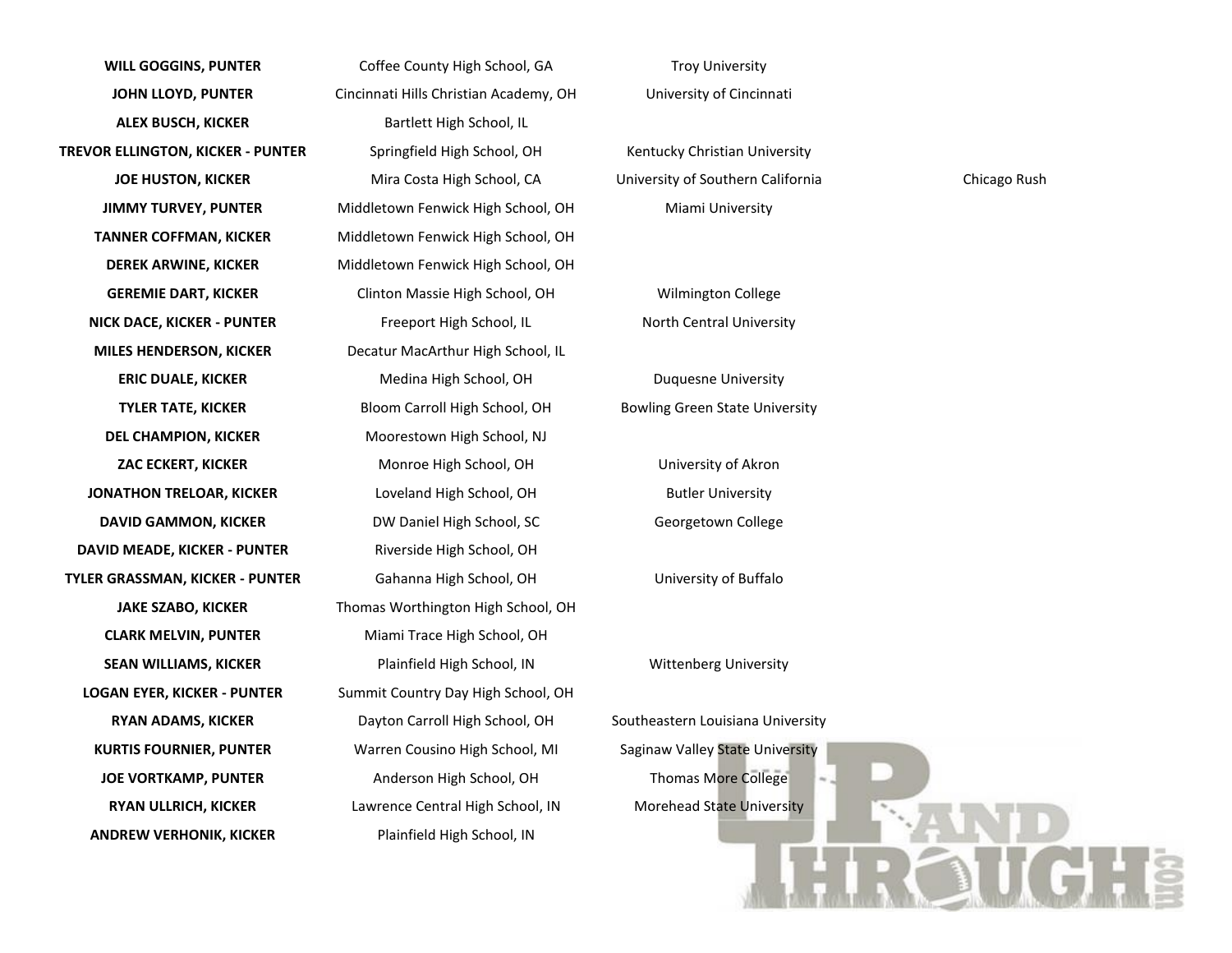**WILL GOGGINS, PUNTER** Coffee County High School, GA Troy University **JOHN LLOYD, PUNTER** Cincinnati Hills Christian Academy, OH University of Cincinnati **ALEX BUSCH, KICKER** Bartlett High School, IL **TREVOR ELLINGTON, KICKER - PUNTER** Springfield High School, OH Kentucky Christian University **JOE HUSTON, KICKER** Mira Costa High School, CA University of Southern California Chicago Rush **JIMMY TURVEY, PUNTER** Middletown Fenwick High School, OH Miami University **TANNER COFFMAN, KICKER** Middletown Fenwick High School, OH **DEREK ARWINE, KICKER** Middletown Fenwick High School, OH **GEREMIE DART, KICKER** Clinton Massie High School, OH Wilmington College **NICK DACE, KICKER - PUNTER** Freeport High School, IL North Central University **MILES HENDERSON, KICKER** Decatur MacArthur High School, IL **ERIC DUALE, KICKER** Medina High School, OH Duquesne University **TYLER TATE, KICKER** Bloom Carroll High School, OH Bowling Green State University **DEL CHAMPION, KICKER** Moorestown High School, NJ **ZAC ECKERT, KICKER** Monroe High School, OH University of Akron **JONATHON TRELOAR, KICKER** Loveland High School, OH Butler University **DAVID GAMMON, KICKER** DW Daniel High School, SC Georgetown College **DAVID MEADE, KICKER - PUNTER** Riverside High School, OH **TYLER GRASSMAN, KICKER - PUNTER** Gahanna High School, OH University of Buffalo **JAKE SZABO, KICKER** Thomas Worthington High School, OH **CLARK MELVIN, PUNTER** Miami Trace High School, OH **SEAN WILLIAMS, KICKER** Plainfield High School, IN Wittenberg University **LOGAN EYER, KICKER - PUNTER** Summit Country Day High School, OH **RYAN ADAMS, KICKER** Dayton Carroll High School, OH Southeastern Louisiana University **KURTIS FOURNIER, PUNTER** Warren Cousino High School, MI Saginaw Valley State University **JOE VORTKAMP, PUNTER** Anderson High School, OH Thomas More College **RYAN ULLRICH, KICKER** Lawrence Central High School, IN Morehead State University **ANDREW VERHONIK, KICKER** Plainfield High School, IN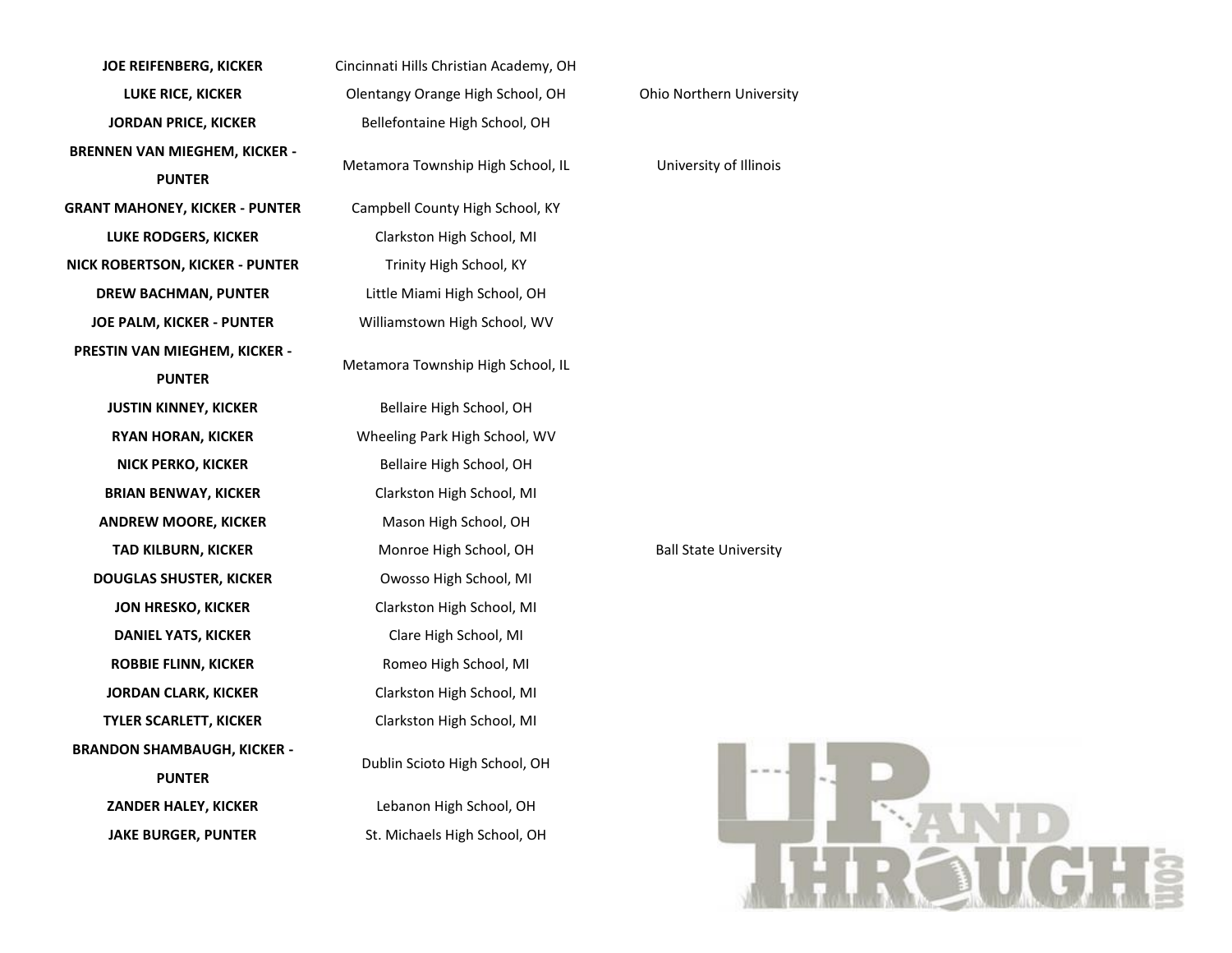**JOE REIFENBERG, KICKER** Cincinnati Hills Christian Academy, OH **LUKE RICE, KICKER Olentangy Orange High School, OH** Ohio Northern University **JORDAN PRICE, KICKER** Bellefontaine High School, OH **BRENNEN VAN MIEGHEM, KICKER - PUNTER GRANT MAHONEY, KICKER - PUNTER** Campbell County High School, KY **LUKE RODGERS, KICKER** Clarkston High School, MI **NICK ROBERTSON, KICKER - PUNTER** Trinity High School, KY **DREW BACHMAN, PUNTER** Little Miami High School, OH **JOE PALM, KICKER - PUNTER** Williamstown High School, WV **PRESTIN VAN MIEGHEM, KICKER - PUNTER JUSTIN KINNEY, KICKER** Bellaire High School, OH **RYAN HORAN, KICKER** Wheeling Park High School, WV **NICK PERKO, KICKER** Bellaire High School, OH **BRIAN BENWAY, KICKER** Clarkston High School, MI **ANDREW MOORE, KICKER** Mason High School, OH **TAD KILBURN, KICKER** Monroe High School, OH Ball State University **DOUGLAS SHUSTER, KICKER** Owosso High School, MI **JON HRESKO, KICKER** Clarkston High School, MI **DANIEL YATS, KICKER** Clare High School, MI **ROBBIE FLINN, KICKER** Romeo High School, MI **JORDAN CLARK, KICKER** Clarkston High School, MI **TYLER SCARLETT, KICKER** Clarkston High School, MI **BRANDON SHAMBAUGH, KICKER - PUNTER ZANDER HALEY, KICKER** Lebanon High School, OH JAKE BURGER, PUNTER St. Michaels High School, OH

Metamora Township High School, IL University of Illinois Metamora Township High School, IL Dublin Scioto High School, OH

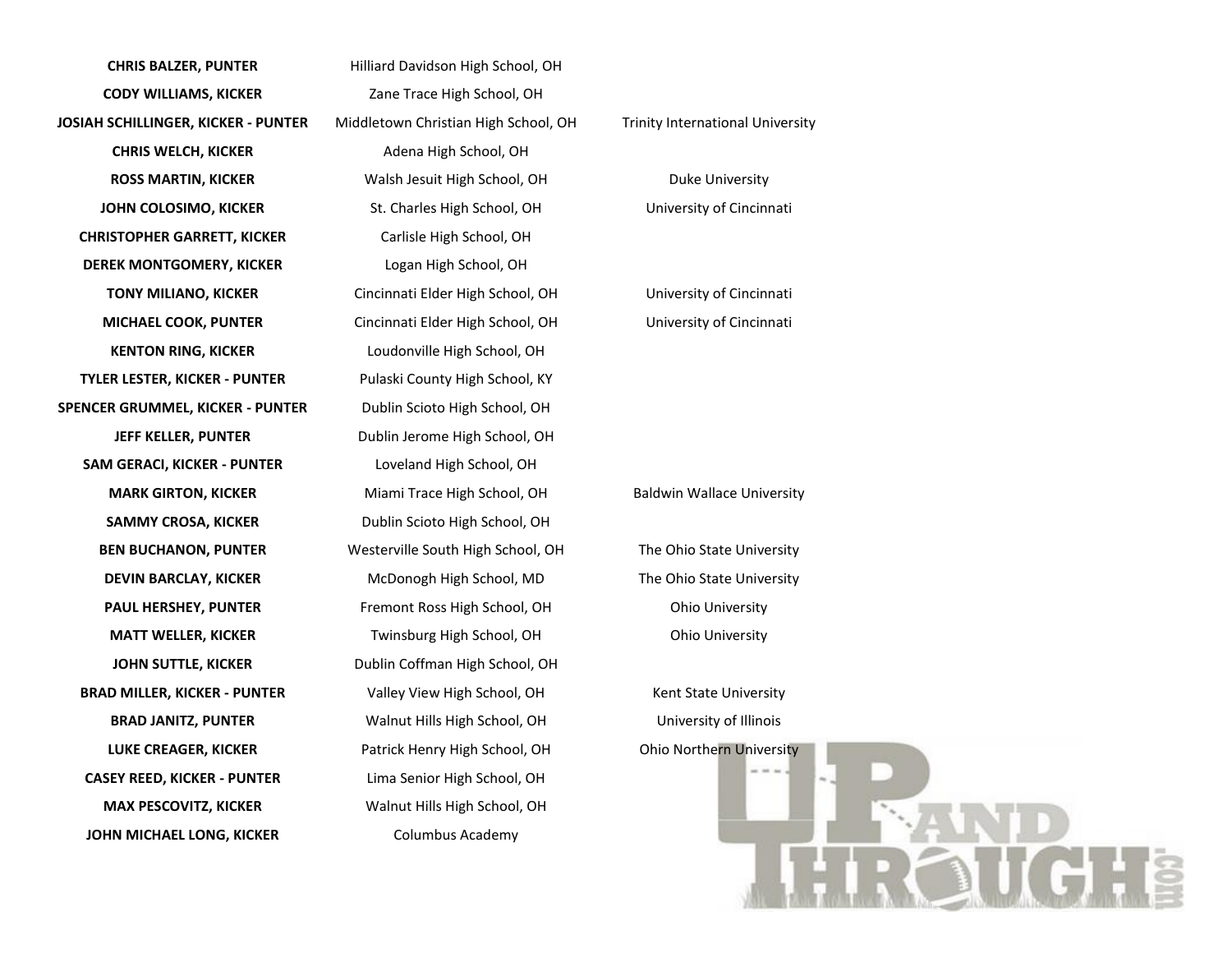**CHRIS BALZER, PUNTER** Hilliard Davidson High School, OH **CODY WILLIAMS, KICKER** Zane Trace High School, OH **JOSIAH SCHILLINGER, KICKER - PUNTER** Middletown Christian High School, OH Trinity International University **CHRIS WELCH, KICKER** Adena High School, OH **ROSS MARTIN, KICKER** Walsh Jesuit High School, OH Duke University **JOHN COLOSIMO, KICKER** St. Charles High School, OH University of Cincinnati **CHRISTOPHER GARRETT, KICKER** Carlisle High School, OH **DEREK MONTGOMERY, KICKER** Logan High School, OH **TONY MILIANO, KICKER** Cincinnati Elder High School, OH University of Cincinnati **MICHAEL COOK, PUNTER** Cincinnati Elder High School, OH University of Cincinnati **KENTON RING, KICKER** Loudonville High School, OH **TYLER LESTER, KICKER - PUNTER** Pulaski County High School, KY **SPENCER GRUMMEL, KICKER - PUNTER** Dublin Scioto High School, OH **JEFF KELLER, PUNTER** Dublin Jerome High School, OH **SAM GERACI, KICKER - PUNTER** Loveland High School, OH **MARK GIRTON, KICKER** Miami Trace High School, OH Baldwin Wallace University **SAMMY CROSA, KICKER** Dublin Scioto High School, OH **BEN BUCHANON, PUNTER** Westerville South High School, OH The Ohio State University **DEVIN BARCLAY, KICKER** McDonogh High School, MD The Ohio State University **PAUL HERSHEY, PUNTER** Fremont Ross High School, OH Ohio University **MATT WELLER, KICKER** Twinsburg High School, OH Ohio University **JOHN SUTTLE, KICKER** Dublin Coffman High School, OH **BRAD MILLER, KICKER - PUNTER** Valley View High School, OH Kent State University **BRAD JANITZ, PUNTER** Walnut Hills High School, OH University of Illinois **LUKE CREAGER, KICKER** Patrick Henry High School, OH Ohio Northern University **CASEY REED, KICKER - PUNTER** Lima Senior High School, OH **MAX PESCOVITZ, KICKER** Walnut Hills High School, OH **JOHN MICHAEL LONG, KICKER** Columbus Academy

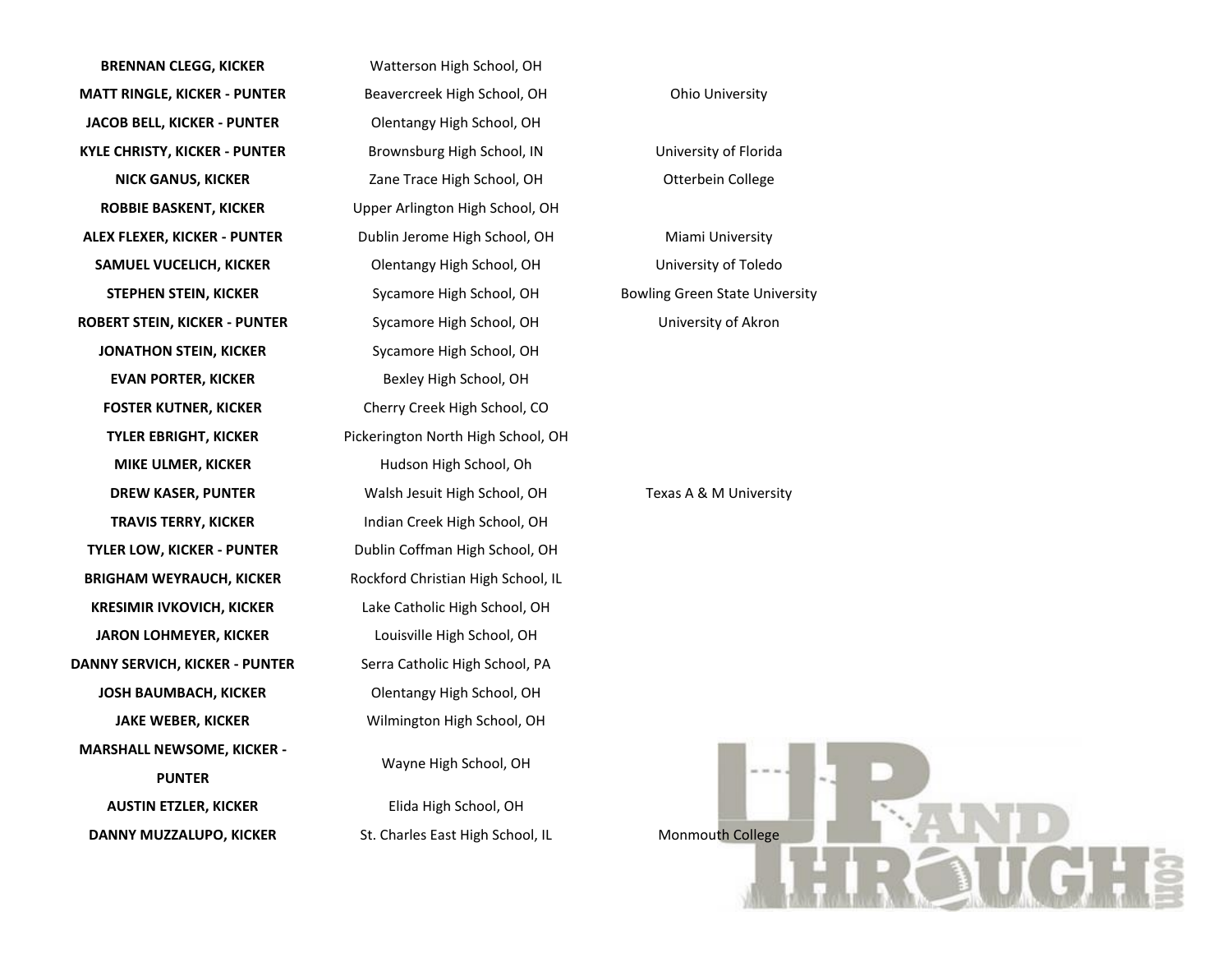**BRENNAN CLEGG, KICKER** Watterson High School, OH **MATT RINGLE, KICKER - PUNTER** Beavercreek High School, OH Ohio University **JACOB BELL, KICKER - PUNTER** Olentangy High School, OH **KYLE CHRISTY, KICKER - PUNTER** Brownsburg High School, IN University of Florida **ROBBIE BASKENT, KICKER** Upper Arlington High School, OH **ALEX FLEXER, KICKER - PUNTER** Dublin Jerome High School, OH Miami University **SAMUEL VUCELICH, KICKER** Olentangy High School, OH University of Toledo **ROBERT STEIN, KICKER - PUNTER** Sycamore High School, OH University of Akron **JONATHON STEIN, KICKER** Sycamore High School, OH **EVAN PORTER, KICKER** Bexley High School, OH **FOSTER KUTNER, KICKER** Cherry Creek High School, CO **MIKE ULMER, KICKER** Hudson High School, Oh **TRAVIS TERRY, KICKER** Indian Creek High School, OH **TYLER LOW, KICKER - PUNTER** Dublin Coffman High School, OH **BRIGHAM WEYRAUCH, KICKER** Rockford Christian High School, IL **KRESIMIR IVKOVICH, KICKER** Lake Catholic High School, OH **JARON LOHMEYER, KICKER** Louisville High School, OH **DANNY SERVICH, KICKER - PUNTER** Serra Catholic High School, PA **JOSH BAUMBACH, KICKER** Olentangy High School, OH **JAKE WEBER, KICKER** Wilmington High School, OH **MARSHALL NEWSOME, KICKER - PUNTER AUSTIN ETZLER, KICKER** Elida High School, OH **DANNY MUZZALUPO, KICKER** St. Charles East High School, IL Monmouth College

**NICK GANUS, KICKER** Zane Trace High School, OH Otterbein College **STEPHEN STEIN, KICKER** Sycamore High School, OH Bowling Green State University **TYLER EBRIGHT, KICKER** Pickerington North High School, OH **DREW KASER, PUNTER** Walsh Jesuit High School, OH Texas A & M University Wayne High School, OH

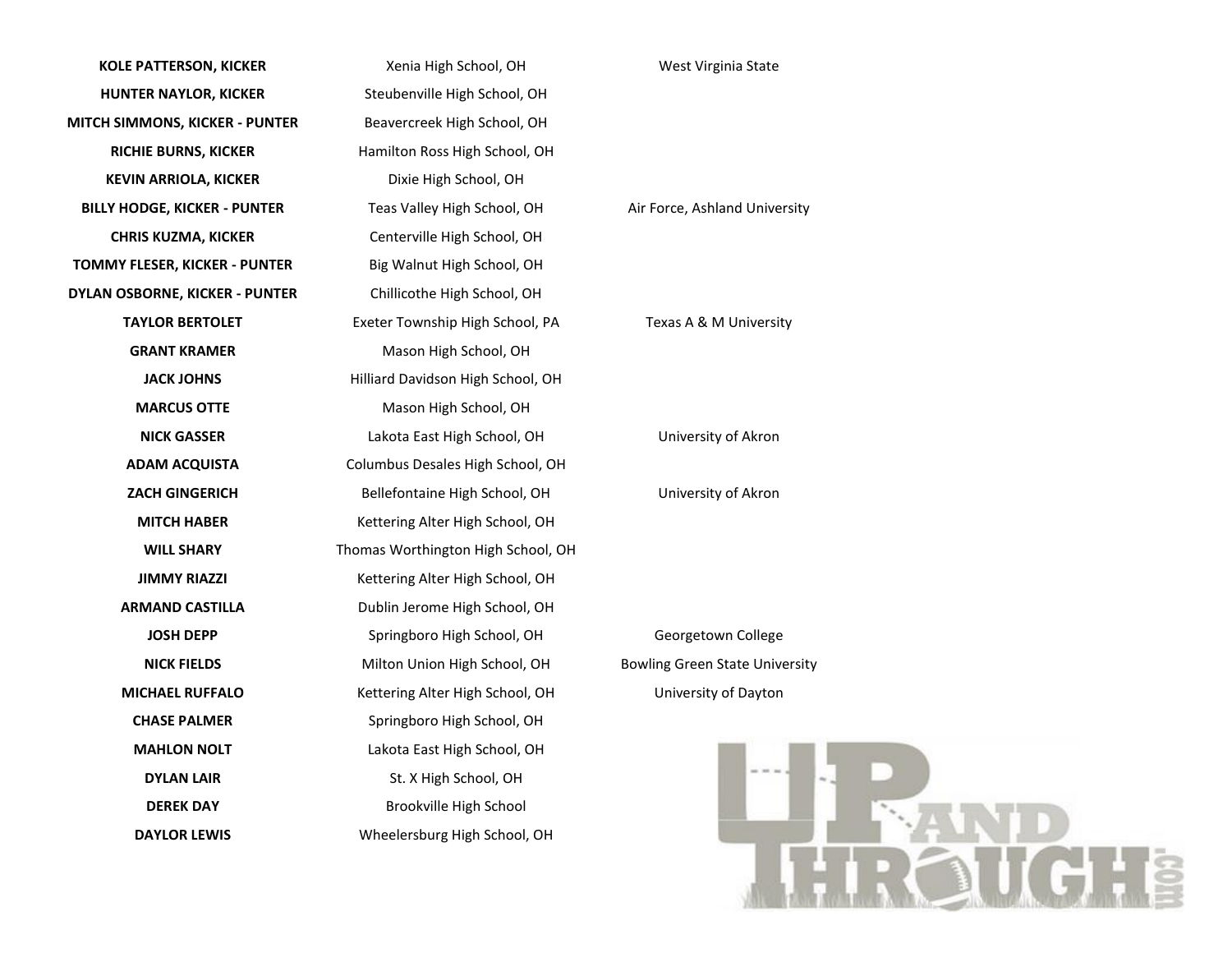| <b>KOLE PATTERSON, KICKER</b>         | Xenia High School, OH              | West Vi              |
|---------------------------------------|------------------------------------|----------------------|
| <b>HUNTER NAYLOR, KICKER</b>          | Steubenville High School, OH       |                      |
| MITCH SIMMONS, KICKER - PUNTER        | Beavercreek High School, OH        |                      |
| <b>RICHIE BURNS, KICKER</b>           | Hamilton Ross High School, OH      |                      |
| <b>KEVIN ARRIOLA, KICKER</b>          | Dixie High School, OH              |                      |
| <b>BILLY HODGE, KICKER - PUNTER</b>   | Teas Valley High School, OH        | Air Force, As        |
| <b>CHRIS KUZMA, KICKER</b>            | Centerville High School, OH        |                      |
| TOMMY FLESER, KICKER - PUNTER         | Big Walnut High School, OH         |                      |
| <b>DYLAN OSBORNE, KICKER - PUNTER</b> | Chillicothe High School, OH        |                      |
| <b>TAYLOR BERTOLET</b>                | Exeter Township High School, PA    | Texas A &            |
| <b>GRANT KRAMER</b>                   | Mason High School, OH              |                      |
| <b>JACK JOHNS</b>                     | Hilliard Davidson High School, OH  |                      |
| <b>MARCUS OTTE</b>                    | Mason High School, OH              |                      |
| <b>NICK GASSER</b>                    | Lakota East High School, OH        | Universi             |
| <b>ADAM ACQUISTA</b>                  | Columbus Desales High School, OH   |                      |
| <b>ZACH GINGERICH</b>                 | Bellefontaine High School, OH      | Universi             |
| <b>MITCH HABER</b>                    | Kettering Alter High School, OH    |                      |
| <b>WILL SHARY</b>                     | Thomas Worthington High School, OH |                      |
| <b>JIMMY RIAZZI</b>                   | Kettering Alter High School, OH    |                      |
| <b>ARMAND CASTILLA</b>                | Dublin Jerome High School, OH      |                      |
| <b>JOSH DEPP</b>                      | Springboro High School, OH         | Georget              |
| <b>NICK FIELDS</b>                    | Milton Union High School, OH       | <b>Bowling Green</b> |
| <b>MICHAEL RUFFALO</b>                | Kettering Alter High School, OH    | Universit            |
| <b>CHASE PALMER</b>                   | Springboro High School, OH         |                      |
| <b>MAHLON NOLT</b>                    | Lakota East High School, OH        |                      |
| <b>DYLAN LAIR</b>                     | St. X High School, OH              |                      |
| <b>DEREK DAY</b>                      | Brookville High School             |                      |
| <b>DAYLOR LEWIS</b>                   | Wheelersburg High School, OH       |                      |
|                                       |                                    |                      |

## *Kirginia State*

## **BILANG University**

## **M** University

**Nick Gast School** 

 $\overline{\text{s}}$ ity of Akron

town College **n State University** ity of Dayton